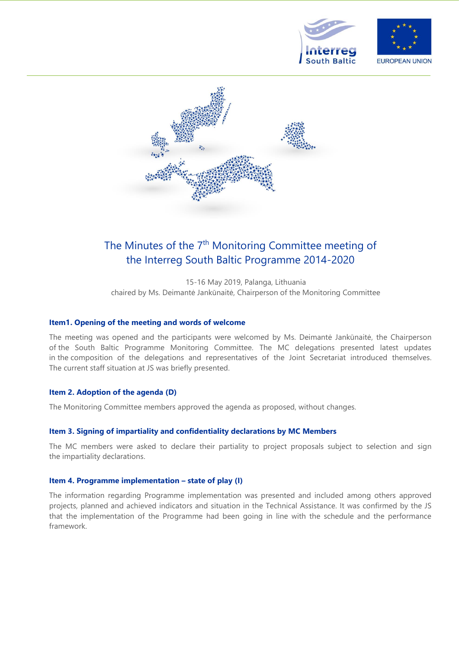



# The Minutes of the 7<sup>th</sup> Monitoring Committee meeting of the Interreg South Baltic Programme 2014-2020

15-16 May 2019, Palanga, Lithuania chaired by Ms. Deimantė Jankūnaitė, Chairperson of the Monitoring Committee

## **Item1. Opening of the meeting and words of welcome**

The meeting was opened and the participants were welcomed by Ms. Deimantė Jankūnaitė, the Chairperson of the South Baltic Programme Monitoring Committee. The MC delegations presented latest updates in the composition of the delegations and representatives of the Joint Secretariat introduced themselves. The current staff situation at JS was briefly presented.

# **Item 2. Adoption of the agenda (D)**

The Monitoring Committee members approved the agenda as proposed, without changes.

## **Item 3. Signing of impartiality and confidentiality declarations by MC Members**

The MC members were asked to declare their partiality to project proposals subject to selection and sign the impartiality declarations.

## **Item 4. Programme implementation – state of play (I)**

The information regarding Programme implementation was presented and included among others approved projects, planned and achieved indicators and situation in the Technical Assistance. It was confirmed by the JS that the implementation of the Programme had been going in line with the schedule and the performance framework.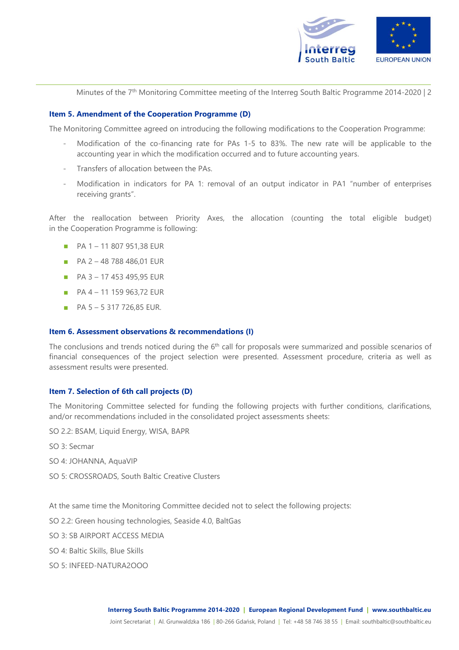

Minutes of the 7<sup>th</sup> Monitoring Committee meeting of the Interreg South Baltic Programme 2014-2020 | 2

#### **Item 5. Amendment of the Cooperation Programme (D)**

The Monitoring Committee agreed on introducing the following modifications to the Cooperation Programme:

- Modification of the co-financing rate for PAs 1-5 to 83%. The new rate will be applicable to the accounting year in which the modification occurred and to future accounting years.
- Transfers of allocation between the PAs.
- Modification in indicators for PA 1: removal of an output indicator in PA1 "number of enterprises receiving grants".

After the reallocation between Priority Axes, the allocation (counting the total eligible budget) in the Cooperation Programme is following:

- PA 1 11 807 951,38 EUR
- PA 2 <sup>48</sup> <sup>788</sup> 486,01 EUR
- $P_A$  3 17 453 495,95 EUR
- PA 4 <sup>11</sup> <sup>159</sup> 963,72 EUR
- $\blacksquare$  PA 5 5 317 726,85 EUR.

#### **Item 6. Assessment observations & recommendations (I)**

The conclusions and trends noticed during the  $6<sup>th</sup>$  call for proposals were summarized and possible scenarios of financial consequences of the project selection were presented. Assessment procedure, criteria as well as assessment results were presented.

## **Item 7. Selection of 6th call projects (D)**

The Monitoring Committee selected for funding the following projects with further conditions, clarifications, and/or recommendations included in the consolidated project assessments sheets:

SO 2.2: BSAM, Liquid Energy, WISA, BAPR

SO 3: Secmar

- SO 4: JOHANNA, AquaVIP
- SO 5: CROSSROADS, South Baltic Creative Clusters

At the same time the Monitoring Committee decided not to select the following projects:

- SO 2.2: Green housing technologies, Seaside 4.0, BaltGas
- SO 3: SB AIRPORT ACCESS MEDIA
- SO 4: Baltic Skills, Blue Skills
- SO 5: INFEED-NATURA2OOO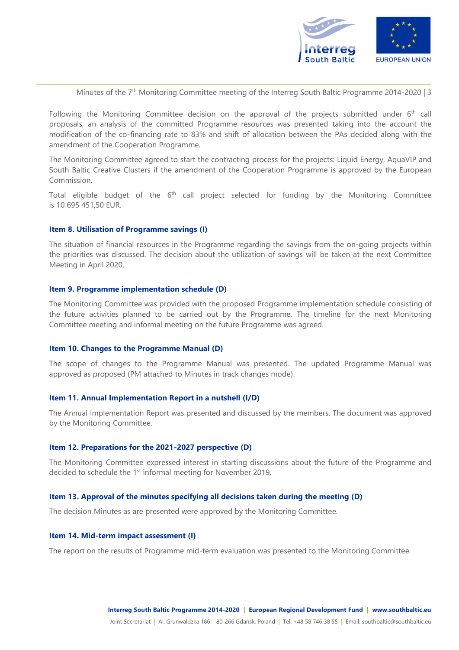

Minutes of the 7<sup>th</sup> Monitoring Committee meeting of the Interreg South Baltic Programme 2014-2020 | 3

Following the Monitoring Committee decision on the approval of the projects submitted under 6<sup>th</sup> call proposals, an analysis of the committed Programme resources was presented taking into the account the modification of the co-financing rate to 83% and shift of allocation between the PAs decided along with the amendment of the Cooperation Programme.

The Monitoring Committee agreed to start the contracting process for the projects: Liquid Energy, AquaVIP and South Baltic Creative Clusters if the amendment of the Cooperation Programme is approved by the European Commission.

Total eligible budget of the 6<sup>th</sup> call project selected for funding by the Monitoring Committee is 10 695 451,50 EUR.

#### **Item 8. Utilisation of Programme savings (I)**

The situation of financial resources in the Programme regarding the savings from the on-going projects within the priorities was discussed. The decision about the utilization of savings will be taken at the next Committee Meeting in April 2020.

#### **Item 9. Programme implementation schedule (D)**

The Monitoring Committee was provided with the proposed Programme implementation schedule consisting of the future activities planned to be carried out by the Programme. The timeline for the next Monitoring Committee meeting and informal meeting on the future Programme was agreed.

#### **Item 10. Changes to the Programme Manual (D)**

The scope of changes to the Programme Manual was presented. The updated Programme Manual was approved as proposed (PM attached to Minutes in track changes mode).

#### **Item 11. Annual Implementation Report in a nutshell (I/D)**

The Annual Implementation Report was presented and discussed by the members. The document was approved by the Monitoring Committee.

#### **Item 12. Preparations for the 2021-2027 perspective (D)**

The Monitoring Committee expressed interest in starting discussions about the future of the Programme and decided to schedule the 1<sup>st</sup> informal meeting for November 2019.

## **Item 13. Approval of the minutes specifying all decisions taken during the meeting (D)**

The decision Minutes as are presented were approved by the Monitoring Committee.

## **Item 14. Mid-term impact assessment (I)**

The report on the results of Programme mid-term evaluation was presented to the Monitoring Committee.